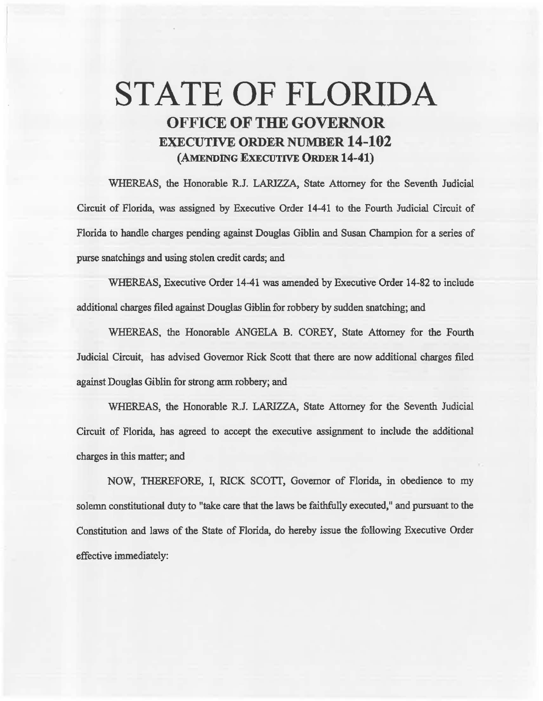## STATE OF FLORIDA OFFICE OF THE GOVERNOR EXECUTIVE ORDER NUMBER 14-102 (AMENDING EXECUTIVE ORDER 14-41)

WHEREAS, the Honorable R.J. LARIZZA, State Attorney for the Seventh Judicial Circuit of Florida, was assigned by Executive Order 14-41 to the Fourth Judicial Circuit of Florida to handle charges pending against Douglas Giblin and Susan Champion for a series of purse snatchings and using stolen credit cards; and

WHEREAS, Executive Order 14-41 was amended by Executive Order 14-82 to include additional charges filed against Douglas Giblin for robbery by sudden snatching; and

WHEREAS, the Honorable ANGELA B. COREY, State Attorney for the Fourth Judicial Circuit, has advised Governor Rick Scott that there are now additional charges filed against Douglas Giblin for strong ann robbery; and

WHEREAS, the Honorable R.J. LARIZZA, State Attorney for the Seventh Judicial Circuit of Florida, has agreed to accept the executive assignment to include the additional charges in. this matter; and

NOW, THEREFORE, I, RICK SCOTI, Governor of Florida, in obedience to my solemn constitutional duty to "take care that the laws be faithfully executed," and pursuant to the Constitution and laws of the State of Florida, do hereby issue the following Executive Order effective immediately: